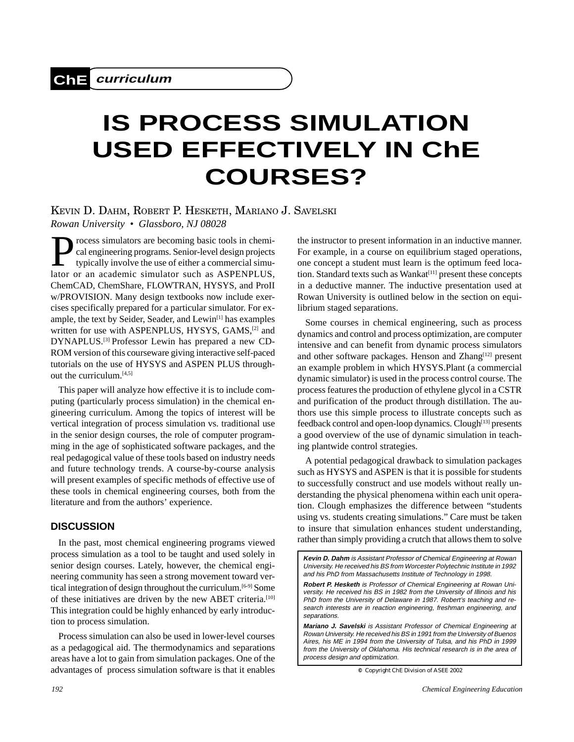# **IS PROCESS SIMULATION USED EFFECTIVELY IN ChE COURSES?**

KEVIN D. DAHM, ROBERT P. HESKETH, MARIANO J. SAVELSKI *Rowan University • Glassboro, NJ 08028*

rocess simulators are becoming basic tools in chemical engineering programs. Senior-level design projects typically involve the use of either a commercial simulator or an academic simulator such as ASPENPLUS, ChemCAD, ChemShare, FLOWTRAN, HYSYS, and ProII w/PROVISION. Many design textbooks now include exercises specifically prepared for a particular simulator. For example, the text by Seider, Seader, and Lewin<sup>[1]</sup> has examples written for use with ASPENPLUS, HYSYS, GAMS,<sup>[2]</sup> and DYNAPLUS.[3] Professor Lewin has prepared a new CD-ROM version of this courseware giving interactive self-paced tutorials on the use of HYSYS and ASPEN PLUS throughout the curriculum.<sup>[4,5]</sup>

This paper will analyze how effective it is to include computing (particularly process simulation) in the chemical engineering curriculum. Among the topics of interest will be vertical integration of process simulation vs. traditional use in the senior design courses, the role of computer programming in the age of sophisticated software packages, and the real pedagogical value of these tools based on industry needs and future technology trends. A course-by-course analysis will present examples of specific methods of effective use of these tools in chemical engineering courses, both from the literature and from the authors' experience.

## **DISCUSSION**

In the past, most chemical engineering programs viewed process simulation as a tool to be taught and used solely in senior design courses. Lately, however, the chemical engineering community has seen a strong movement toward vertical integration of design throughout the curriculum.[6-9] Some of these initiatives are driven by the new ABET criteria.[10] This integration could be highly enhanced by early introduction to process simulation.

Process simulation can also be used in lower-level courses as a pedagogical aid. The thermodynamics and separations areas have a lot to gain from simulation packages. One of the advantages of process simulation software is that it enables

the instructor to present information in an inductive manner. For example, in a course on equilibrium staged operations, one concept a student must learn is the optimum feed location. Standard texts such as Wankat<sup>[11]</sup> present these concepts in a deductive manner. The inductive presentation used at Rowan University is outlined below in the section on equilibrium staged separations.

Some courses in chemical engineering, such as process dynamics and control and process optimization, are computer intensive and can benefit from dynamic process simulators and other software packages. Henson and Zhang<sup>[12]</sup> present an example problem in which HYSYS.Plant (a commercial dynamic simulator) is used in the process control course. The process features the production of ethylene glycol in a CSTR and purification of the product through distillation. The authors use this simple process to illustrate concepts such as feedback control and open-loop dynamics. Clough<sup>[13]</sup> presents a good overview of the use of dynamic simulation in teaching plantwide control strategies.

A potential pedagogical drawback to simulation packages such as HYSYS and ASPEN is that it is possible for students to successfully construct and use models without really understanding the physical phenomena within each unit operation. Clough emphasizes the difference between "students using vs. students creating simulations." Care must be taken to insure that simulation enhances student understanding, rather than simply providing a crutch that allows them to solve

**Kevin D. Dahm** is Assistant Professor of Chemical Engineering at Rowan University. He received his BS from Worcester Polytechnic Institute in 1992 and his PhD from Massachusetts Institute of Technology in 1998.

**Robert P. Hesketh** is Professor of Chemical Engineering at Rowan University. He received his BS in 1982 from the University of Illinois and his PhD from the University of Delaware in 1987. Robert's teaching and research interests are in reaction engineering, freshman engineering, and separations.

**Mariano J. Savelski** is Assistant Professor of Chemical Engineering at Rowan University. He received his BS in 1991 from the University of Buenos Aires, his ME in 1994 from the University of Tulsa, and his PhD in 1999 from the University of Oklahoma. His technical research is in the area of process design and optimization.

**<sup>©</sup>** *Copyright ChE Division of ASEE 2002*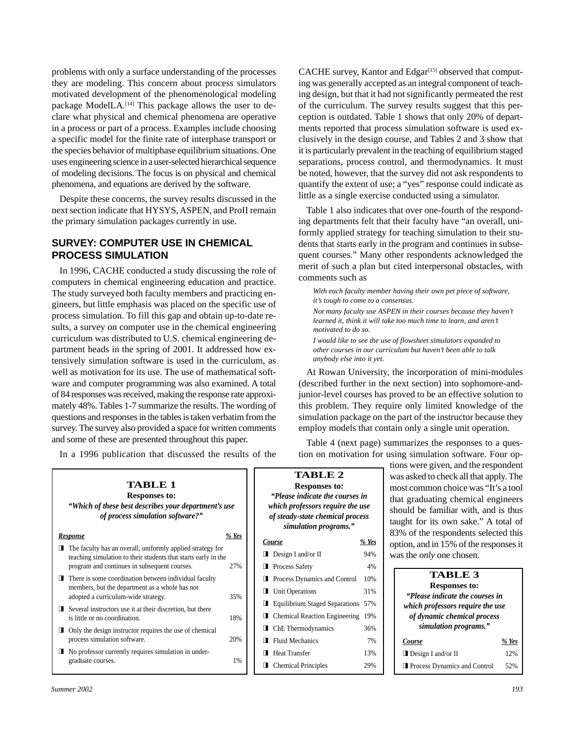problems with only a surface understanding of the processes they are modeling. This concern about process simulators motivated development of the phenomenological modeling package ModelLA.<sup>[14]</sup> This package allows the user to declare what physical and chemical phenomena are operative in a process or part of a process. Examples include choosing a specific model for the finite rate of interphase transport or the species behavior of multiphase equilibrium situations. One uses engineering science in a user-selected hierarchical sequence of modeling decisions. The focus is on physical and chemical phenomena, and equations are derived by the software.

Despite these concerns, the survey results discussed in the next section indicate that HYSYS, ASPEN, and ProII remain the primary simulation packages currently in use.

# **SURVEY: COMPUTER USE IN CHEMICAL PROCESS SIMULATION**

In 1996, CACHE conducted a study discussing the role of computers in chemical engineering education and practice. The study surveyed both faculty members and practicing engineers, but little emphasis was placed on the specific use of process simulation. To fill this gap and obtain up-to-date results, a survey on computer use in the chemical engineering curriculum was distributed to U.S. chemical engineering department heads in the spring of 2001. It addressed how extensively simulation software is used in the curriculum, as well as motivation for its use. The use of mathematical software and computer programming was also examined. A total of 84 responses was received, making the response rate approximately 48%. Tables 1-7 summarize the results. The wording of questions and responses in the tables is taken verbatim from the survey. The survey also provided a space for written comments and some of these are presented throughout this paper.

In a 1996 publication that discussed the results of the

CACHE survey, Kantor and Edgar<sup>[15]</sup> observed that computing was generally accepted as an integral component of teaching design, but that it had not significantly permeated the rest of the curriculum. The survey results suggest that this perception is outdated. Table 1 shows that only 20% of departments reported that process simulation software is used exclusively in the design course, and Tables 2 and 3 show that it is particularly prevalent in the teaching of equilibrium staged separations, process control, and thermodynamics. It must be noted, however, that the survey did not ask respondents to quantify the extent of use; a "yes" response could indicate as little as a single exercise conducted using a simulator.

Table 1 also indicates that over one-fourth of the responding departments felt that their faculty have "an overall, uniformly applied strategy for teaching simulation to their students that starts early in the program and continues in subsequent courses." Many other respondents acknowledged the merit of such a plan but cited interpersonal obstacles, with comments such as

*With each faculty member having their own pet piece of software, it's tough to come to a consensus. Not many faculty use ASPEN in their courses because they haven't learned it, think it will take too much time to learn, and aren't motivated to do so.*

*I would like to see the use of flowsheet simulators expanded to other courses in our curriculum but haven't been able to talk anybody else into it yet.*

At Rowan University, the incorporation of mini-modules (described further in the next section) into sophomore-andjunior-level courses has proved to be an effective solution to this problem. They require only limited knowledge of the simulation package on the part of the instructor because they employ models that contain only a single unit operation.

Table 4 (next page) summarizes the responses to a question on motivation for using simulation software. Four op-

|                                                                                                                                                                                                      |                |                                                                                                                                                                            | tions were given, and the respondent                                                                                                                                                                |
|------------------------------------------------------------------------------------------------------------------------------------------------------------------------------------------------------|----------------|----------------------------------------------------------------------------------------------------------------------------------------------------------------------------|-----------------------------------------------------------------------------------------------------------------------------------------------------------------------------------------------------|
| <b>TABLE 1</b><br><b>Responses to:</b><br>"Which of these best describes your department's use<br>of process simulation software?"                                                                   |                | <b>TABLE 2</b><br><b>Responses to:</b><br>"Please indicate the courses in<br>which professors require the use<br>of steady-state chemical process<br>simulation programs." | was asked to check all that apply. The<br>most common choice was "It's a tool<br>that graduating chemical engineers<br>should be familiar with, and is thus<br>taught for its own sake." A total of |
| <b>Response</b><br>$\blacksquare$ The faculty has an overall, uniformly applied strategy for<br>teaching simulation to their students that starts early in the                                       | $%$ Yes<br>27% | % Yes<br>Course<br>94%<br>$\Box$ Design I and/or II                                                                                                                        | 83% of the respondents selected this<br>option, and in 15% of the responses it<br>was the <i>only</i> one chosen.                                                                                   |
| program and continues in subsequent courses.<br>There is some coordination between individual faculty<br>П.<br>members, but the department as a whole has not<br>adopted a curriculum-wide strategy. | 35%            | 4%<br><b>Process Safety</b><br>Process Dynamics and Control<br>10%<br>П<br>Unit Operations<br>31%<br>◨                                                                     | <b>TABLE 3</b><br><b>Responses to:</b><br>"Please indicate the courses in                                                                                                                           |
| $\blacksquare$ Several instructors use it at their discretion, but there<br>is little or no coordination.<br>Only the design instructor requires the use of chemical                                 | 18%            | <b>Equilibrium Staged Separations</b><br>57%<br>$\blacksquare$ Chemical Reaction Engineering<br>19%<br>ChE Thermodynamics<br>36%<br>ш                                      | which professors require the use<br>of dynamic chemical process<br>simulation programs."                                                                                                            |
| process simulation software.<br>$\blacksquare$ No professor currently requires simulation in under-<br>graduate courses.                                                                             | 20%<br>1%      | <b>Fluid Mechanics</b><br>7%<br>П<br>Course<br><b>Heat Transfer</b><br>13%<br>Ш<br><b>Chemical Principles</b><br>29%<br>◨                                                  | $%$ Yes<br>$\Box$ Design I and/or II<br>12%<br><b>Process Dynamics and Control</b><br>52%                                                                                                           |
|                                                                                                                                                                                                      |                |                                                                                                                                                                            |                                                                                                                                                                                                     |

| taught for its own sake." A total of   |
|----------------------------------------|
| 83% of the respondents selected this   |
| option, and in 15% of the responses it |
| was the <i>only</i> one chosen.        |
| <b>TABLE 3</b>                         |
| <b>Responses to:</b>                   |
|                                        |
| "Please indicate the courses in        |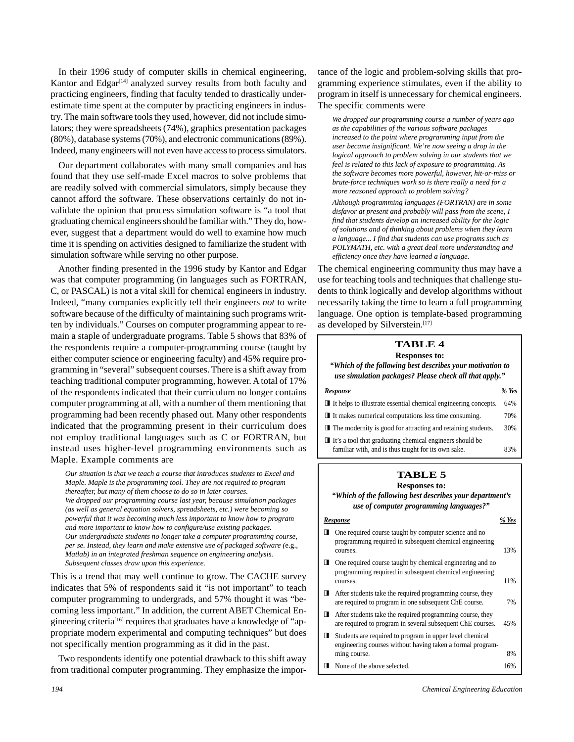In their 1996 study of computer skills in chemical engineering, Kantor and Edgar<sup>[14]</sup> analyzed survey results from both faculty and practicing engineers, finding that faculty tended to drastically underestimate time spent at the computer by practicing engineers in industry. The main software tools they used, however, did not include simulators; they were spreadsheets (74%), graphics presentation packages (80%), database systems (70%), and electronic communications (89%). Indeed, many engineers will not even have access to process simulators.

Our department collaborates with many small companies and has found that they use self-made Excel macros to solve problems that are readily solved with commercial simulators, simply because they cannot afford the software. These observations certainly do not invalidate the opinion that process simulation software is "a tool that graduating chemical engineers should be familiar with." They do, however, suggest that a department would do well to examine how much time it is spending on activities designed to familiarize the student with simulation software while serving no other purpose.

Another finding presented in the 1996 study by Kantor and Edgar was that computer programming (in languages such as FORTRAN, C, or PASCAL) is not a vital skill for chemical engineers in industry. Indeed, "many companies explicitly tell their engineers *not* to write software because of the difficulty of maintaining such programs written by individuals." Courses on computer programming appear to remain a staple of undergraduate programs. Table 5 shows that 83% of the respondents require a computer-programming course (taught by either computer science or engineering faculty) and 45% require programming in "several" subsequent courses. There is a shift away from teaching traditional computer programming, however. A total of 17% of the respondents indicated that their curriculum no longer contains computer programming at all, with a number of them mentioning that programming had been recently phased out. Many other respondents indicated that the programming present in their curriculum does not employ traditional languages such as C or FORTRAN, but instead uses higher-level programming environments such as Maple. Example comments are

*Our situation is that we teach a course that introduces students to Excel and Maple. Maple is the programming tool. They are not required to program thereafter, but many of them choose to do so in later courses. We dropped our programming course last year, because simulation packages (as well as general equation solvers, spreadsheets, etc.) were becoming so powerful that it was becoming much less important to know how to program and more important to know how to configure/use existing packages. Our undergraduate students no longer take a computer programming course, per se. Instead, they learn and make extensive use of packaged software (*e.g., *Matlab) in an integrated freshman sequence on engineering analysis. Subsequent classes draw upon this experience.*

This is a trend that may well continue to grow. The CACHE survey indicates that 5% of respondents said it "is not important" to teach computer programming to undergrads, and 57% thought it was "becoming less important." In addition, the current ABET Chemical Engineering criteria<sup>[16]</sup> requires that graduates have a knowledge of "appropriate modern experimental and computing techniques" but does not specifically mention programming as it did in the past.

Two respondents identify one potential drawback to this shift away from traditional computer programming. They emphasize the importance of the logic and problem-solving skills that programming experience stimulates, even if the ability to program in itself is unnecessary for chemical engineers. The specific comments were

*We dropped our programming course a number of years ago as the capabilities of the various software packages increased to the point where programming input from the user became insignificant. We're now seeing a drop in the logical approach to problem solving in our students that we feel is related to this lack of exposure to programming. As the software becomes more powerful, however, hit-or-miss or brute-force techniques work so is there really a need for a more reasoned approach to problem solving?*

*Although programming languages (FORTRAN) are in some disfavor at present and probably will pass from the scene, I find that students develop an increased ability for the logic of solutions and of thinking about problems when they learn a language... I find that students can use programs such as POLYMATH, etc. with a great deal more understanding and efficiency once they have learned a language.*

The chemical engineering community thus may have a use for teaching tools and techniques that challenge students to think logically and develop algorithms without necessarily taking the time to learn a full programming language. One option is template-based programming as developed by Silverstein.<sup>[17]</sup>

# **TABLE 4**

**Responses to:** *"Which of the following best describes your motivation to use simulation packages? Please check all that apply."*

| <b>Response</b>                                                                | % Yes |
|--------------------------------------------------------------------------------|-------|
| $\blacksquare$ It helps to illustrate essential chemical engineering concepts. | 64%   |
| $\blacksquare$ It makes numerical computations less time consuming.            | 70%   |
| $\blacksquare$ The modernity is good for attracting and retaining students.    |       |
| $\blacksquare$ It's a tool that graduating chemical engineers should be        |       |
| familiar with, and is thus taught for its own sake.                            | 83%   |

#### **TABLE 5 Responses to:**

*"Which of the following best describes your department's use of computer programming languages?"*

#### *Response % Yes*

- One required course taught by computer science and no programming required in subsequent chemical engineering courses. 13% One required course taught by chemical engineering and no programming required in subsequent chemical engineering courses. 11% After students take the required programming course, they are required to program in one subsequent ChE course. 7%
- After students take the required programming course, they are required to program in several subsequent ChE courses. 45%
- Students are required to program in upper level chemical engineering courses without having taken a formal programming course. 8%
- **None of the above selected.** 16%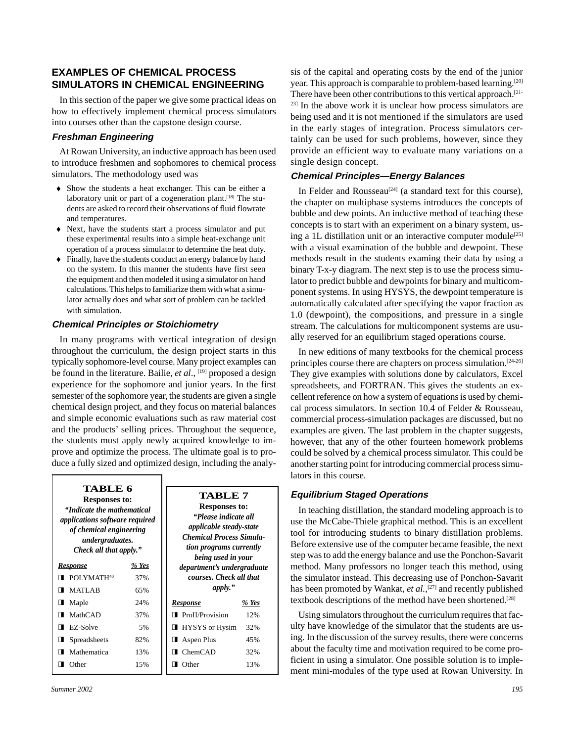# **EXAMPLES OF CHEMICAL PROCESS SIMULATORS IN CHEMICAL ENGINEERING**

In this section of the paper we give some practical ideas on how to effectively implement chemical process simulators into courses other than the capstone design course.

## **Freshman Engineering**

At Rowan University, an inductive approach has been used to introduce freshmen and sophomores to chemical process simulators. The methodology used was

- ® Show the students a heat exchanger. This can be either a laboratory unit or part of a cogeneration plant.<sup>[18]</sup> The students are asked to record their observations of fluid flowrate and temperatures.
- ® Next, have the students start a process simulator and put these experimental results into a simple heat-exchange unit operation of a process simulator to determine the heat duty.
- ® Finally, have the students conduct an energy balance by hand on the system. In this manner the students have first seen the equipment and then modeled it using a simulator on hand calculations. This helps to familiarize them with what a simulator actually does and what sort of problem can be tackled with simulation.

## **Chemical Principles or Stoichiometry**

In many programs with vertical integration of design throughout the curriculum, the design project starts in this typically sophomore-level course. Many project examples can be found in the literature. Bailie, *et al.*, <sup>[19]</sup> proposed a design experience for the sophomore and junior years. In the first semester of the sophomore year, the students are given a single chemical design project, and they focus on material balances and simple economic evaluations such as raw material cost and the products' selling prices. Throughout the sequence, the students must apply newly acquired knowledge to improve and optimize the process. The ultimate goal is to produce a fully sized and optimized design, including the analy-

| TABLE 6<br><b>Responses to:</b><br>"Indicate the mathematical<br>applications software required<br>of chemical engineering<br>undergraduates.<br>Check all that apply." |       | <b>TABLE 7</b><br><b>Responses to:</b><br>"Please indicate all<br><i>applicable steady-state</i><br><b>Chemical Process Simula-</b><br>tion programs currently<br>being used in your |       |
|-------------------------------------------------------------------------------------------------------------------------------------------------------------------------|-------|--------------------------------------------------------------------------------------------------------------------------------------------------------------------------------------|-------|
| <b>Response</b>                                                                                                                                                         | % Yes | department's undergraduate                                                                                                                                                           |       |
| POLYMATH <sup>40</sup>                                                                                                                                                  | 37%   | courses. Check all that                                                                                                                                                              |       |
| <b>MATLAB</b>                                                                                                                                                           | 65%   | apply."                                                                                                                                                                              |       |
| Maple<br>п.                                                                                                                                                             | 24%   | <u>Response</u>                                                                                                                                                                      | % Yes |
| MathCAD                                                                                                                                                                 | 37%   | <b>ProII/Provision</b>                                                                                                                                                               | 12%   |
| EZ-Solve                                                                                                                                                                | 5%    | <b>HYSYS</b> or Hysim                                                                                                                                                                | 32%   |
| Spreadsheets                                                                                                                                                            | 82%   | <b>Aspen Plus</b>                                                                                                                                                                    | 45%   |
| Mathematica                                                                                                                                                             | 13%   | $\blacksquare$ ChemCAD                                                                                                                                                               | 32%   |
| Other                                                                                                                                                                   | 15%   | Other                                                                                                                                                                                | 13%   |

sis of the capital and operating costs by the end of the junior year. This approach is comparable to problem-based learning.<sup>[20]</sup> There have been other contributions to this vertical approach.<sup>[21-</sup>  $23$ ] In the above work it is unclear how process simulators are being used and it is not mentioned if the simulators are used in the early stages of integration. Process simulators certainly can be used for such problems, however, since they provide an efficient way to evaluate many variations on a single design concept.

## **Chemical Principles—Energy Balances**

In Felder and Rousseau<sup>[24]</sup> (a standard text for this course), the chapter on multiphase systems introduces the concepts of bubble and dew points. An inductive method of teaching these concepts is to start with an experiment on a binary system, using a 1L distillation unit or an interactive computer module<sup>[25]</sup> with a visual examination of the bubble and dewpoint. These methods result in the students examing their data by using a binary T-x-y diagram. The next step is to use the process simulator to predict bubble and dewpoints for binary and multicomponent systems. In using HYSYS, the dewpoint temperature is automatically calculated after specifying the vapor fraction as 1.0 (dewpoint), the compositions, and pressure in a single stream. The calculations for multicomponent systems are usually reserved for an equilibrium staged operations course.

In new editions of many textbooks for the chemical process principles course there are chapters on process simulation.[24-26] They give examples with solutions done by calculators, Excel spreadsheets, and FORTRAN. This gives the students an excellent reference on how a system of equations is used by chemical process simulators. In section 10.4 of Felder & Rousseau, commercial process-simulation packages are discussed, but no examples are given. The last problem in the chapter suggests, however, that any of the other fourteen homework problems could be solved by a chemical process simulator. This could be another starting point for introducing commercial process simulators in this course.

## **Equilibrium Staged Operations**

In teaching distillation, the standard modeling approach is to use the McCabe-Thiele graphical method. This is an excellent tool for introducing students to binary distillation problems. Before extensive use of the computer became feasible, the next step was to add the energy balance and use the Ponchon-Savarit method. Many professors no longer teach this method, using the simulator instead. This decreasing use of Ponchon-Savarit has been promoted by Wankat, *et al.*,<sup>[27]</sup> and recently published textbook descriptions of the method have been shortened.[28]

Using simulators throughout the curriculum requires that faculty have knowledge of the simulator that the students are using. In the discussion of the survey results, there were concerns about the faculty time and motivation required to be come proficient in using a simulator. One possible solution is to implement mini-modules of the type used at Rowan University. In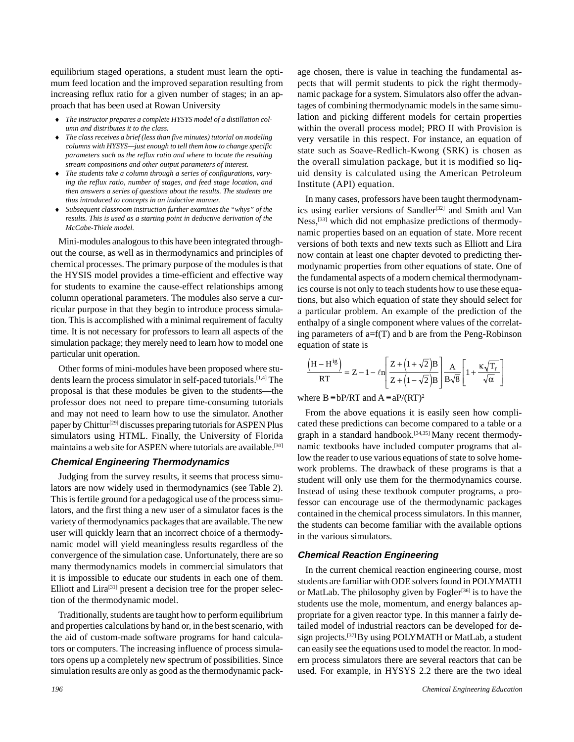equilibrium staged operations, a student must learn the optimum feed location and the improved separation resulting from increasing reflux ratio for a given number of stages; in an approach that has been used at Rowan University

- The instructor prepares a complete HYSYS model of a distillation col*umn and distributes it to the class.*
- ® *The class receives a brief (less than five minutes) tutorial on modeling columns with HYSYS—just enough to tell them how to change specific parameters such as the reflux ratio and where to locate the resulting stream compositions and other output parameters of interest.*
- The students take a column through a series of configurations, vary*ing the reflux ratio, number of stages, and feed stage location, and then answers a series of questions about the results. The students are thus introduced to concepts in an inductive manner.*
- ® *Subsequent classroom instruction further examines the "whys" of the results. This is used as a starting point in deductive derivation of the McCabe-Thiele model.*

Mini-modules analogous to this have been integrated throughout the course, as well as in thermodynamics and principles of chemical processes. The primary purpose of the modules is that the HYSIS model provides a time-efficient and effective way for students to examine the cause-effect relationships among column operational parameters. The modules also serve a curricular purpose in that they begin to introduce process simulation. This is accomplished with a minimal requirement of faculty time. It is not necessary for professors to learn all aspects of the simulation package; they merely need to learn how to model one particular unit operation.

Other forms of mini-modules have been proposed where students learn the process simulator in self-paced tutorials.[1,4] The proposal is that these modules be given to the students—the professor does not need to prepare time-consuming tutorials and may not need to learn how to use the simulator. Another paper by Chittur<sup>[29]</sup> discusses preparing tutorials for ASPEN Plus simulators using HTML. Finally, the University of Florida maintains a web site for ASPEN where tutorials are available.<sup>[30]</sup>

#### **Chemical Engineering Thermodynamics**

Judging from the survey results, it seems that process simulators are now widely used in thermodynamics (see Table 2). This is fertile ground for a pedagogical use of the process simulators, and the first thing a new user of a simulator faces is the variety of thermodynamics packages that are available. The new user will quickly learn that an incorrect choice of a thermodynamic model will yield meaningless results regardless of the convergence of the simulation case. Unfortunately, there are so many thermodynamics models in commercial simulators that it is impossible to educate our students in each one of them. Elliott and Lira<sup>[31]</sup> present a decision tree for the proper selection of the thermodynamic model.

Traditionally, students are taught how to perform equilibrium and properties calculations by hand or, in the best scenario, with the aid of custom-made software programs for hand calculators or computers. The increasing influence of process simulators opens up a completely new spectrum of possibilities. Since simulation results are only as good as the thermodynamic pack-

age chosen, there is value in teaching the fundamental aspects that will permit students to pick the right thermodynamic package for a system. Simulators also offer the advantages of combining thermodynamic models in the same simulation and picking different models for certain properties within the overall process model; PRO II with Provision is very versatile in this respect. For instance, an equation of state such as Soave-Redlich-Kwong (SRK) is chosen as the overall simulation package, but it is modified so liquid density is calculated using the American Petroleum Institute (API) equation.

In many cases, professors have been taught thermodynamics using earlier versions of Sandler<sup>[32]</sup> and Smith and Van Ness,[33] which did not emphasize predictions of thermodynamic properties based on an equation of state. More recent versions of both texts and new texts such as Elliott and Lira now contain at least one chapter devoted to predicting thermodynamic properties from other equations of state. One of the fundamental aspects of a modern chemical thermodynamics course is not only to teach students how to use these equations, but also which equation of state they should select for a particular problem. An example of the prediction of the enthalpy of a single component where values of the correlating parameters of a=f(T) and b are from the Peng-Robinson equation of state is

$$
\frac{\left(H - H^{ig}\right)}{RT} = Z - 1 - \ln\left[\frac{Z + \left(1 + \sqrt{2}\right)B}{Z + \left(1 - \sqrt{2}\right)B}\right] \frac{A}{B\sqrt{8}} \left[1 + \frac{\kappa\sqrt{T_r}}{\sqrt{\alpha}}\right]
$$

where B  $\equiv$  bP/RT and A  $\equiv$  aP/(RT)<sup>2</sup>

From the above equations it is easily seen how complicated these predictions can become compared to a table or a graph in a standard handbook.<sup>[34,35]</sup> Many recent thermodynamic textbooks have included computer programs that allow the reader to use various equations of state to solve homework problems. The drawback of these programs is that a student will only use them for the thermodynamics course. Instead of using these textbook computer programs, a professor can encourage use of the thermodynamic packages contained in the chemical process simulators. In this manner, the students can become familiar with the available options in the various simulators.

#### **Chemical Reaction Engineering**

In the current chemical reaction engineering course, most students are familiar with ODE solvers found in POLYMATH or MatLab. The philosophy given by Fogler<sup>[36]</sup> is to have the students use the mole, momentum, and energy balances appropriate for a given reactor type. In this manner a fairly detailed model of industrial reactors can be developed for design projects.[37] By using POLYMATH or MatLab, a student can easily see the equations used to model the reactor. In modern process simulators there are several reactors that can be used. For example, in HYSYS 2.2 there are the two ideal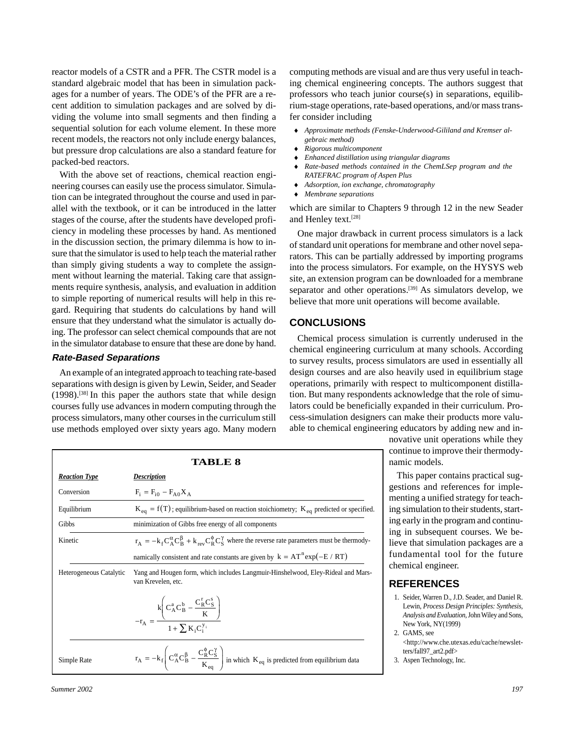reactor models of a CSTR and a PFR. The CSTR model is a standard algebraic model that has been in simulation packages for a number of years. The ODE's of the PFR are a recent addition to simulation packages and are solved by dividing the volume into small segments and then finding a sequential solution for each volume element. In these more recent models, the reactors not only include energy balances, but pressure drop calculations are also a standard feature for packed-bed reactors.

With the above set of reactions, chemical reaction engineering courses can easily use the process simulator. Simulation can be integrated throughout the course and used in parallel with the textbook, or it can be introduced in the latter stages of the course, after the students have developed proficiency in modeling these processes by hand. As mentioned in the discussion section, the primary dilemma is how to insure that the simulator is used to help teach the material rather than simply giving students a way to complete the assignment without learning the material. Taking care that assignments require synthesis, analysis, and evaluation in addition to simple reporting of numerical results will help in this regard. Requiring that students do calculations by hand will ensure that they understand what the simulator is actually doing. The professor can select chemical compounds that are not in the simulator database to ensure that these are done by hand.

#### **Rate-Based Separations**

*Reaction Type Description*

Conversion  $F_i = F_{i0} - F_{A0}X_A$ 

An example of an integrated approach to teaching rate-based separations with design is given by Lewin, Seider, and Seader  $(1998)$ .<sup>[38]</sup> In this paper the authors state that while design courses fully use advances in modern computing through the process simulators, many other courses in the curriculum still use methods employed over sixty years ago. Many modern

Gibbs minimization of Gibbs free energy of all components

**TABLE 8**

Equilibrium  $K_{eq} = f(T)$ ; equilibrium-based on reaction stoichiometry;  $K_{eq}$  predicted or specified.

Kinetic  $r_A = -k_f C_A^{\alpha} C_B^{\beta} + k_{rev} C_R^{\beta} C_S^{\gamma}$  where the reverse rate parameters must be thermody-

namically consistent and rate constants are given by  $k = AT^{n} exp(-E / RT)$ 

computing methods are visual and are thus very useful in teaching chemical engineering concepts. The authors suggest that professors who teach junior course(s) in separations, equilibrium-stage operations, rate-based operations, and/or mass transfer consider including

- ® *Approximate methods (Fenske-Underwood-Gililand and Kremser algebraic method)*
- ® *Rigorous multicomponent*
- ® *Enhanced distillation using triangular diagrams*
- ® *Rate-based methods contained in the ChemLSep program and the RATEFRAC program of Aspen Plus*
- ® *Adsorption, ion exchange, chromatography*
- ® *Membrane separations*

which are similar to Chapters 9 through 12 in the new Seader and Henley text.[28]

One major drawback in current process simulators is a lack of standard unit operations for membrane and other novel separators. This can be partially addressed by importing programs into the process simulators. For example, on the HYSYS web site, an extension program can be downloaded for a membrane separator and other operations.<sup>[39]</sup> As simulators develop, we believe that more unit operations will become available.

# **CONCLUSIONS**

Chemical process simulation is currently underused in the chemical engineering curriculum at many schools. According to survey results, process simulators are used in essentially all design courses and are also heavily used in equilibrium stage operations, primarily with respect to multicomponent distillation. But many respondents acknowledge that the role of simulators could be beneficially expanded in their curriculum. Process-simulation designers can make their products more valuable to chemical engineering educators by adding new and in-

novative unit operations while they continue to improve their thermodynamic models.

This paper contains practical suggestions and references for implementing a unified strategy for teaching simulation to their students, starting early in the program and continuing in subsequent courses. We believe that simulation packages are a fundamental tool for the future chemical engineer.

# **REFERENCES**

- Seider, Warren D., J.D. Seader, and Daniel R. Lewin, *Process Design Principles: Synthesis, Analysis and Evaluation,* John Wiley and Sons, New York, NY(1999)
- GAMS, see [<http://www.che.utexas.edu/cache/newslet](http://www.che.utexas.edu/cache/newslet-�ters/fall97_art2.pdf)ters/fall97\_art2.pdf>
- Aspen Technology, Inc.

| Summer 2002 | 197 |
|-------------|-----|
|             |     |

| Heterogeneous Catalytic | Yang and Hougen form, which includes Langmuir-Hinshelwood, Eley-Rideal and Mars-<br>van Krevelen, etc.                                                  |    |
|-------------------------|---------------------------------------------------------------------------------------------------------------------------------------------------------|----|
|                         | $-r_A = \frac{k \left( C_A^a C_B^b - \frac{C_R^r C_S^s}{K} \right)}{1 + \sum K_i C_i^{y_i}}$                                                            | 1. |
| Simple Rate             | $r_A = -k_f \left( C_A^{\alpha} C_B^{\beta} - \frac{C_R^{\beta} C_S^{\gamma}}{K_{\gamma}} \right)$ in which $K_{eq}$ is predicted from equilibrium data |    |